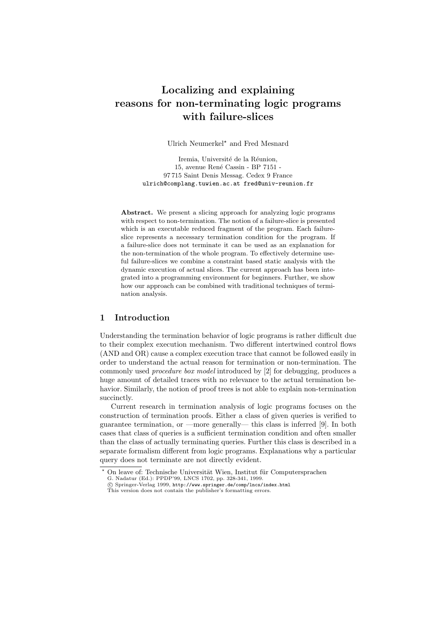# Localizing and explaining reasons for non-terminating logic programs with failure-slices

Ulrich Neumerkel? and Fred Mesnard

Iremia, Université de la Réunion, 15, avenue René Cassin - BP 7151 -97 715 Saint Denis Messag. Cedex 9 France ulrich@complang.tuwien.ac.at fred@univ-reunion.fr

Abstract. We present a slicing approach for analyzing logic programs with respect to non-termination. The notion of a failure-slice is presented which is an executable reduced fragment of the program. Each failureslice represents a necessary termination condition for the program. If a failure-slice does not terminate it can be used as an explanation for the non-termination of the whole program. To effectively determine useful failure-slices we combine a constraint based static analysis with the dynamic execution of actual slices. The current approach has been integrated into a programming environment for beginners. Further, we show how our approach can be combined with traditional techniques of termination analysis.

# 1 Introduction

Understanding the termination behavior of logic programs is rather difficult due to their complex execution mechanism. Two different intertwined control flows (AND and OR) cause a complex execution trace that cannot be followed easily in order to understand the actual reason for termination or non-termination. The commonly used procedure box model introduced by [2] for debugging, produces a huge amount of detailed traces with no relevance to the actual termination behavior. Similarly, the notion of proof trees is not able to explain non-termination succinctly.

Current research in termination analysis of logic programs focuses on the construction of termination proofs. Either a class of given queries is verified to guarantee termination, or —more generally— this class is inferred [9]. In both cases that class of queries is a sufficient termination condition and often smaller than the class of actually terminating queries. Further this class is described in a separate formalism different from logic programs. Explanations why a particular query does not terminate are not directly evident.

On leave of: Technische Universität Wien, Institut für Computersprachen

G. Nadatur (Ed.): PPDP'99, LNCS 1702, pp. 328-341, 1999.

<sup>°</sup>c Springer-Verlag 1999, http://www.springer.de/comp/lncs/index.html This version does not contain the publisher's formatting errors.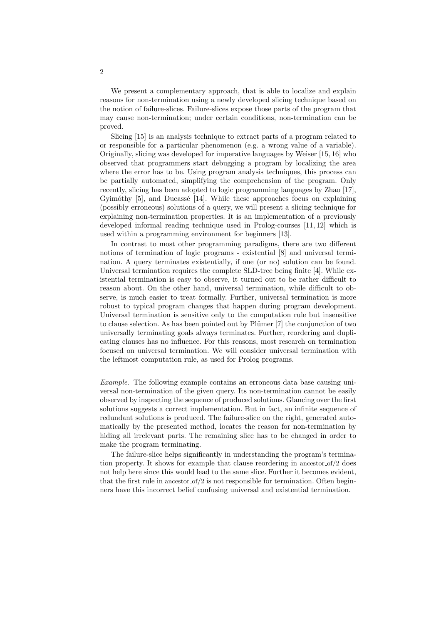We present a complementary approach, that is able to localize and explain reasons for non-termination using a newly developed slicing technique based on the notion of failure-slices. Failure-slices expose those parts of the program that may cause non-termination; under certain conditions, non-termination can be proved.

Slicing [15] is an analysis technique to extract parts of a program related to or responsible for a particular phenomenon (e.g. a wrong value of a variable). Originally, slicing was developed for imperative languages by Weiser [15, 16] who observed that programmers start debugging a program by localizing the area where the error has to be. Using program analysis techniques, this process can be partially automated, simplifying the comprehension of the program. Only recently, slicing has been adopted to logic programming languages by Zhao [17], Gyimóthy [5], and Ducassé [14]. While these approaches focus on explaining (possibly erroneous) solutions of a query, we will present a slicing technique for explaining non-termination properties. It is an implementation of a previously developed informal reading technique used in Prolog-courses [11, 12] which is used within a programming environment for beginners [13].

In contrast to most other programming paradigms, there are two different notions of termination of logic programs - existential [8] and universal termination. A query terminates existentially, if one (or no) solution can be found. Universal termination requires the complete SLD-tree being finite [4]. While existential termination is easy to observe, it turned out to be rather difficult to reason about. On the other hand, universal termination, while difficult to observe, is much easier to treat formally. Further, universal termination is more robust to typical program changes that happen during program development. Universal termination is sensitive only to the computation rule but insensitive to clause selection. As has been pointed out by Plümer [7] the conjunction of two universally terminating goals always terminates. Further, reordering and duplicating clauses has no influence. For this reasons, most research on termination focused on universal termination. We will consider universal termination with the leftmost computation rule, as used for Prolog programs.

Example. The following example contains an erroneous data base causing universal non-termination of the given query. Its non-termination cannot be easily observed by inspecting the sequence of produced solutions. Glancing over the first solutions suggests a correct implementation. But in fact, an infinite sequence of redundant solutions is produced. The failure-slice on the right, generated automatically by the presented method, locates the reason for non-termination by hiding all irrelevant parts. The remaining slice has to be changed in order to make the program terminating.

The failure-slice helps significantly in understanding the program's termination property. It shows for example that clause reordering in ancestor of/2 does not help here since this would lead to the same slice. Further it becomes evident, that the first rule in ancestor of  $/2$  is not responsible for termination. Often beginners have this incorrect belief confusing universal and existential termination.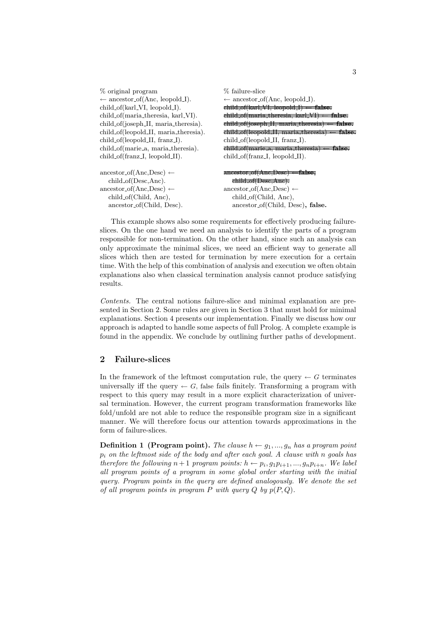% original program  $\leftarrow$  ancestor\_of(Anc, leopold\_I). child\_of(karl\_VI, leopold\_I). child of (maria theresia, karl VI). child of(joseph II, maria theresia). child of(leopold II, maria theresia). child\_of(leopold\_II, franz\_I). child of(marie a, maria theresia). child of(franz I, leopold II). ancestor\_of(Anc,Desc)  $\leftarrow$ child of(Desc,Anc). ancestor\_of(Anc,Desc)  $\leftarrow$ child of(Child, Anc), % failure-slice  $\leftarrow$  ancestor\_of(Anc, leopold\_I). child of(karl VI, leopold I) ← false. child of(maria theresia, karl VI) ← false. child of(joseph II, maria theresia)  $\leftarrow$  false. child of(leopold II, maria theresia)  $\leftarrow$  false. child\_of(leopold\_II, franz\_I). child of marie a, maria theresia)  $\leftarrow$  false. child of(franz I, leopold II). ancestor of(Anc,Desc) ←false, child of(Desc,Anc). ancestor\_of(Anc,Desc)  $\leftarrow$ child of(Child, Anc),

This example shows also some requirements for effectively producing failureslices. On the one hand we need an analysis to identify the parts of a program responsible for non-termination. On the other hand, since such an analysis can only approximate the minimal slices, we need an efficient way to generate all slices which then are tested for termination by mere execution for a certain time. With the help of this combination of analysis and execution we often obtain explanations also when classical termination analysis cannot produce satisfying results.

ancestor of(Child, Desc), false.

Contents. The central notions failure-slice and minimal explanation are presented in Section 2. Some rules are given in Section 3 that must hold for minimal explanations. Section 4 presents our implementation. Finally we discuss how our approach is adapted to handle some aspects of full Prolog. A complete example is found in the appendix. We conclude by outlining further paths of development.

# 2 Failure-slices

ancestor\_of(Child, Desc).

In the framework of the leftmost computation rule, the query  $\leftarrow G$  terminates universally iff the query  $\leftarrow G$ , false fails finitely. Transforming a program with respect to this query may result in a more explicit characterization of universal termination. However, the current program transformation frameworks like fold/unfold are not able to reduce the responsible program size in a significant manner. We will therefore focus our attention towards approximations in the form of failure-slices.

**Definition 1 (Program point).** The clause  $h \leftarrow g_1, ..., g_n$  has a program point  $p_i$  on the leftmost side of the body and after each goal. A clause with n goals has therefore the following  $n+1$  program points:  $h \leftarrow p_i, g_1 p_{i+1}, ..., g_n p_{i+n}$ . We label all program points of a program in some global order starting with the initial query. Program points in the query are defined analogously. We denote the set of all program points in program P with query  $Q$  by  $p(P,Q)$ .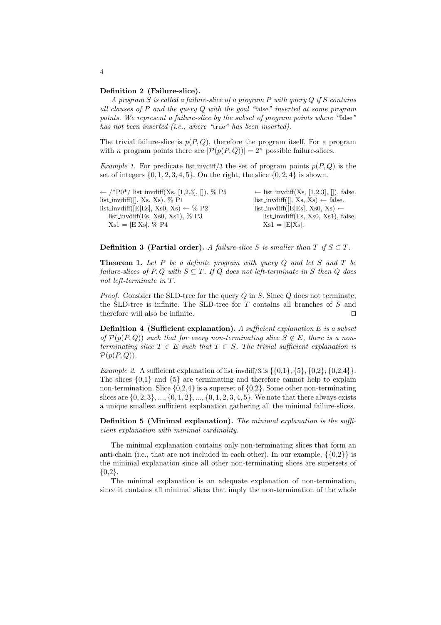#### Definition 2 (Failure-slice).

A program S is called a failure-slice of a program P with query Q if S contains all clauses of P and the query Q with the goal "false" inserted at some program points. We represent a failure-slice by the subset of program points where "false" has not been inserted *(i.e.*, where "true" has been inserted).

The trivial failure-slice is  $p(P,Q)$ , therefore the program itself. For a program with *n* program points there are  $|\mathcal{P}(p(P,Q))| = 2^n$  possible failure-slices.

*Example 1.* For predicate list invdiff/3 the set of program points  $p(P,Q)$  is the set of integers  $\{0, 1, 2, 3, 4, 5\}$ . On the right, the slice  $\{0, 2, 4\}$  is shown.

| ← /*P0*/ list_invdiff(Xs, [1,2,3], []). $\%$ P5 | $\leftarrow$ list_invdiff(Xs, [1,2,3], []), false. |
|-------------------------------------------------|----------------------------------------------------|
| list_invdiff([ $\vert$ , Xs, Xs). $\%$ P1       | list_invdiff([], Xs, Xs) $\leftarrow$ false.       |
| list_invdiff([E Es], Xs0, Xs) $\leftarrow$ % P2 | $list\_invdiff([E Es], Xs0, Xs) \leftarrow$        |
| list_invdiff(Es, Xs0, Xs1), $\%$ P3             | $list_invidiff(Es, Xs0, Xs1), false,$              |
| $Xs1 = [E Xs]$ . % P4                           | $Xs1 = [E Xs].$                                    |

**Definition 3 (Partial order).** A failure-slice S is smaller than  $T$  if  $S \subset T$ .

**Theorem 1.** Let  $P$  be a definite program with query  $Q$  and let  $S$  and  $T$  be failure-slices of P, Q with  $S \subseteq T$ . If Q does not left-terminate in S then Q does not left-terminate in T.

*Proof.* Consider the SLD-tree for the query  $Q$  in  $S$ . Since  $Q$  does not terminate, the SLD-tree is infinite. The SLD-tree for  $T$  contains all branches of  $S$  and therefore will also be infinite.  $\Box$ 

**Definition 4 (Sufficient explanation).** A sufficient explanation  $E$  is a subset of  $\mathcal{P}(p(P,Q))$  such that for every non-terminating slice  $S \notin E$ , there is a nonterminating slice  $T \in E$  such that  $T \subset S$ . The trivial sufficient explanation is  $\mathcal{P}(p(P,Q)).$ 

*Example 2.* A sufficient explanation of list invdiff/3 is  $\{\{0,1\}, \{5\}, \{0,2\}, \{0,2,4\}\}.$ The slices  $\{0,1\}$  and  $\{5\}$  are terminating and therefore cannot help to explain non-termination. Slice  $\{0,2,4\}$  is a superset of  $\{0,2\}$ . Some other non-terminating slices are  $\{0, 2, 3\}, \ldots, \{0, 1, 2\}, \ldots, \{0, 1, 2, 3, 4, 5\}.$  We note that there always exists a unique smallest sufficient explanation gathering all the minimal failure-slices.

Definition 5 (Minimal explanation). The minimal explanation is the sufficient explanation with minimal cardinality.

The minimal explanation contains only non-terminating slices that form an anti-chain (i.e., that are not included in each other). In our example,  $\{\{0,2\}\}\$ is the minimal explanation since all other non-terminating slices are supersets of  ${0,2}.$ 

The minimal explanation is an adequate explanation of non-termination, since it contains all minimal slices that imply the non-termination of the whole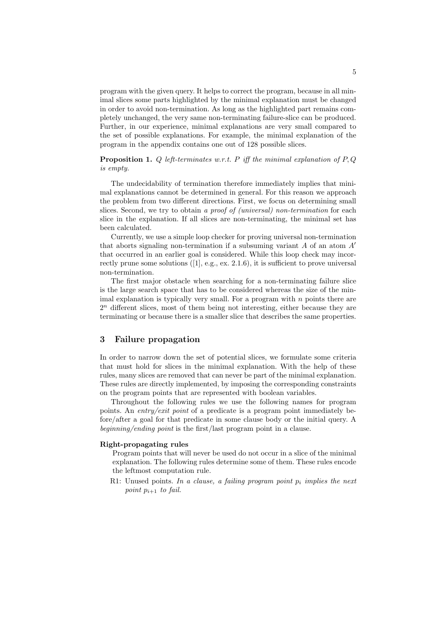program with the given query. It helps to correct the program, because in all minimal slices some parts highlighted by the minimal explanation must be changed in order to avoid non-termination. As long as the highlighted part remains completely unchanged, the very same non-terminating failure-slice can be produced. Further, in our experience, minimal explanations are very small compared to the set of possible explanations. For example, the minimal explanation of the program in the appendix contains one out of 128 possible slices.

# **Proposition 1.** Q left-terminates w.r.t. P iff the minimal explanation of P, Q is empty.

The undecidability of termination therefore immediately implies that minimal explanations cannot be determined in general. For this reason we approach the problem from two different directions. First, we focus on determining small slices. Second, we try to obtain a proof of *(universal)* non-termination for each slice in the explanation. If all slices are non-terminating, the minimal set has been calculated.

Currently, we use a simple loop checker for proving universal non-termination that aborts signaling non-termination if a subsuming variant  $A$  of an atom  $A'$ that occurred in an earlier goal is considered. While this loop check may incorrectly prune some solutions  $(1]$ , e.g., ex. 2.1.6), it is sufficient to prove universal non-termination.

The first major obstacle when searching for a non-terminating failure slice is the large search space that has to be considered whereas the size of the minimal explanation is typically very small. For a program with  $n$  points there are  $2<sup>n</sup>$  different slices, most of them being not interesting, either because they are terminating or because there is a smaller slice that describes the same properties.

# 3 Failure propagation

In order to narrow down the set of potential slices, we formulate some criteria that must hold for slices in the minimal explanation. With the help of these rules, many slices are removed that can never be part of the minimal explanation. These rules are directly implemented, by imposing the corresponding constraints on the program points that are represented with boolean variables.

Throughout the following rules we use the following names for program points. An *entry/exit point* of a predicate is a program point immediately before/after a goal for that predicate in some clause body or the initial query. A beginning/ending point is the first/last program point in a clause.

#### Right-propagating rules

Program points that will never be used do not occur in a slice of the minimal explanation. The following rules determine some of them. These rules encode the leftmost computation rule.

R1: Unused points. In a clause, a failing program point  $p_i$  implies the next point  $p_{i+1}$  to fail.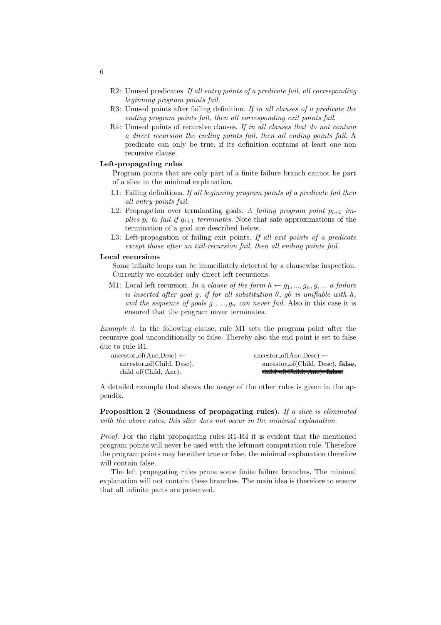- R2: Unused predicates. If all entry points of a predicate fail, all corresponding beginning program points fail.
- R3: Unused points after failing definition. If in all clauses of a predicate the ending program points fail, then all corresponding exit points fail.
- R4: Unused points of recursive clauses. If in all clauses that do not contain a direct recursion the ending points fail, then all ending points fail. A predicate can only be true, if its definition contains at least one non recursive clause.

# Left-propagating rules

Program points that are only part of a finite failure branch cannot be part of a slice in the minimal explanation.

- L1: Failing definitions. If all beginning program points of a predicate fail then all entry points fail.
- L2: Propagation over terminating goals. A failing program point  $p_{i+1}$  implies  $p_i$  to fail if  $g_{i+1}$  terminates. Note that safe approximations of the termination of a goal are described below.
- L3: Left-propagation of failing exit points. If all exit points of a predicate except those after an tail-recursion fail, then all ending points fail.

# Local recursions

Some infinite loops can be immediately detected by a clausewise inspection. Currently we consider only direct left recursions.

M1: Local left recursion. In a clause of the form  $h \leftarrow g_1, ..., g_n, g, ...$  a failure is inserted after goal g, if for all substitution  $\theta$ ,  $g\theta$  is unifiable with h, and the sequence of goals  $g_1, ..., g_n$  can never fail. Also in this case it is ensured that the program never terminates.

Example 3. In the following clause, rule M1 sets the program point after the recursive goal unconditionally to false. Thereby also the end point is set to false due to rule R1.

| $\alpha$ ancestor of $(\text{Anc}, \text{Desc}) \leftarrow$ | $\alpha$ ancestor_of(Anc,Desc) $\leftarrow$ |
|-------------------------------------------------------------|---------------------------------------------|
| ancestor_of(Child, Desc),                                   | $\alpha$ ancestor of (Child, Desc), false,  |
| child_of(Child, Anc).                                       | ehild_of(Child, Anc), false.                |

A detailed example that shows the usage of the other rules is given in the appendix.

Proposition 2 (Soundness of propagating rules). If a slice is eliminated with the above rules, this slice does not occur in the minimal explanation.

*Proof.* For the right propagating rules  $R1-R4$  it is evident that the mentioned program points will never be used with the leftmost computation rule. Therefore the program points may be either true or false, the minimal explanation therefore will contain false.

The left propagating rules prune some finite failure branches. The minimal explanation will not contain these branches. The main idea is therefore to ensure that all infinite parts are preserved.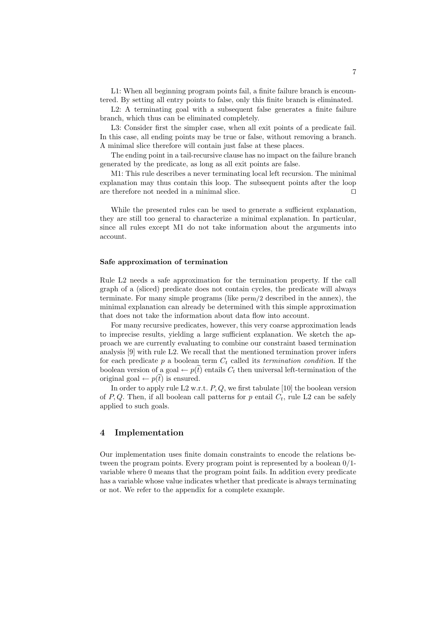L1: When all beginning program points fail, a finite failure branch is encountered. By setting all entry points to false, only this finite branch is eliminated.

L2: A terminating goal with a subsequent false generates a finite failure branch, which thus can be eliminated completely.

L3: Consider first the simpler case, when all exit points of a predicate fail. In this case, all ending points may be true or false, without removing a branch. A minimal slice therefore will contain just false at these places.

The ending point in a tail-recursive clause has no impact on the failure branch generated by the predicate, as long as all exit points are false.

M1: This rule describes a never terminating local left recursion. The minimal explanation may thus contain this loop. The subsequent points after the loop are therefore not needed in a minimal slice.  $\Box$ 

While the presented rules can be used to generate a sufficient explanation, they are still too general to characterize a minimal explanation. In particular, since all rules except M1 do not take information about the arguments into account.

#### Safe approximation of termination

Rule L2 needs a safe approximation for the termination property. If the call graph of a (sliced) predicate does not contain cycles, the predicate will always terminate. For many simple programs (like perm/2 described in the annex), the minimal explanation can already be determined with this simple approximation that does not take the information about data flow into account.

For many recursive predicates, however, this very coarse approximation leads to imprecise results, yielding a large sufficient explanation. We sketch the approach we are currently evaluating to combine our constraint based termination analysis [9] with rule L2. We recall that the mentioned termination prover infers for each predicate  $p$  a boolean term  $C_t$  called its *termination condition*. If the boolean version of a goal  $\leftarrow p(t)$  entails  $C_t$  then universal left-termination of the original goal  $\leftarrow p(t)$  is ensured.

In order to apply rule L2 w.r.t.  $P, Q$ , we first tabulate [10] the boolean version of P, Q. Then, if all boolean call patterns for p entail  $C_t$ , rule L2 can be safely applied to such goals.

# 4 Implementation

Our implementation uses finite domain constraints to encode the relations between the program points. Every program point is represented by a boolean 0/1 variable where 0 means that the program point fails. In addition every predicate has a variable whose value indicates whether that predicate is always terminating or not. We refer to the appendix for a complete example.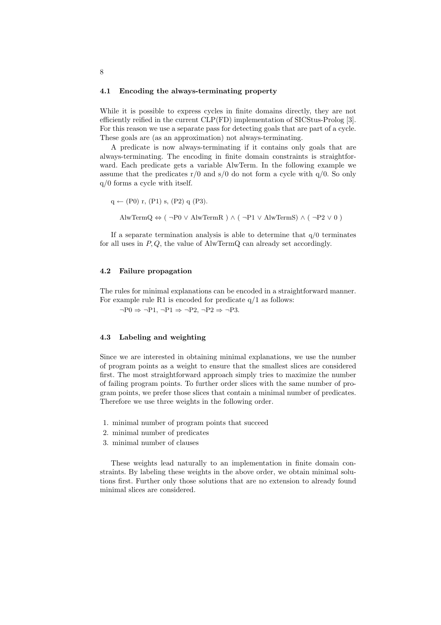#### 4.1 Encoding the always-terminating property

While it is possible to express cycles in finite domains directly, they are not efficiently reified in the current CLP(FD) implementation of SICStus-Prolog [3]. For this reason we use a separate pass for detecting goals that are part of a cycle. These goals are (as an approximation) not always-terminating.

A predicate is now always-terminating if it contains only goals that are always-terminating. The encoding in finite domain constraints is straightforward. Each predicate gets a variable AlwTerm. In the following example we assume that the predicates  $r/0$  and  $s/0$  do not form a cycle with  $q/0$ . So only q/0 forms a cycle with itself.

 $q \leftarrow (P0)$  r,  $(P1)$  s,  $(P2)$  q  $(P3)$ .

AlwTermQ  $\Leftrightarrow$  (  $\neg P0 \lor \text{AlwTerm}$  )  $\land$  (  $\neg P1 \lor \text{AlwTerm}$ )  $\land$  (  $\neg P2 \lor 0$  )

If a separate termination analysis is able to determine that  $q/0$  terminates for all uses in  $P, Q$ , the value of AlwTermQ can already set accordingly.

### 4.2 Failure propagation

The rules for minimal explanations can be encoded in a straightforward manner. For example rule R1 is encoded for predicate  $q/1$  as follows:

 $\neg P0 \Rightarrow \neg P1, \neg P1 \Rightarrow \neg P2, \neg P2 \Rightarrow \neg P3.$ 

# 4.3 Labeling and weighting

Since we are interested in obtaining minimal explanations, we use the number of program points as a weight to ensure that the smallest slices are considered first. The most straightforward approach simply tries to maximize the number of failing program points. To further order slices with the same number of program points, we prefer those slices that contain a minimal number of predicates. Therefore we use three weights in the following order.

- 1. minimal number of program points that succeed
- 2. minimal number of predicates
- 3. minimal number of clauses

These weights lead naturally to an implementation in finite domain constraints. By labeling these weights in the above order, we obtain minimal solutions first. Further only those solutions that are no extension to already found minimal slices are considered.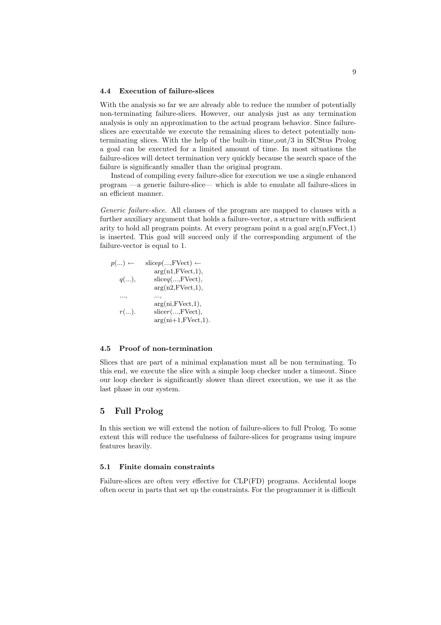#### 4.4 Execution of failure-slices

With the analysis so far we are already able to reduce the number of potentially non-terminating failure-slices. However, our analysis just as any termination analysis is only an approximation to the actual program behavior. Since failureslices are executable we execute the remaining slices to detect potentially nonterminating slices. With the help of the built-in time out/3 in SICStus Prolog a goal can be executed for a limited amount of time. In most situations the failure-slices will detect termination very quickly because the search space of the failure is significantly smaller than the original program.

Instead of compiling every failure-slice for execution we use a single enhanced program —a generic failure-slice— which is able to emulate all failure-slices in an efficient manner.

Generic failure-slice. All clauses of the program are mapped to clauses with a further auxiliary argument that holds a failure-vector, a structure with sufficient arity to hold all program points. At every program point n a goal  $arg(n, FVect, 1)$ is inserted. This goal will succeed only if the corresponding argument of the failure-vector is equal to 1.

 $p(...) \leftarrow$  $q(...),$ ...,  $r(\ldots).$ slice $p(...,FVect) \leftarrow$  $arg(n1, FVect, 1),$ sliceq(...,FVect),  $arg(n2, FVect, 1),$ ..., arg(ni,FVect,1), slicer(...,FVect),  $arg(ni+1,FVect,1)$ .

### 4.5 Proof of non-termination

Slices that are part of a minimal explanation must all be non terminating. To this end, we execute the slice with a simple loop checker under a timeout. Since our loop checker is significantly slower than direct execution, we use it as the last phase in our system.

# 5 Full Prolog

In this section we will extend the notion of failure-slices to full Prolog. To some extent this will reduce the usefulness of failure-slices for programs using impure features heavily.

# 5.1 Finite domain constraints

Failure-slices are often very effective for CLP(FD) programs. Accidental loops often occur in parts that set up the constraints. For the programmer it is difficult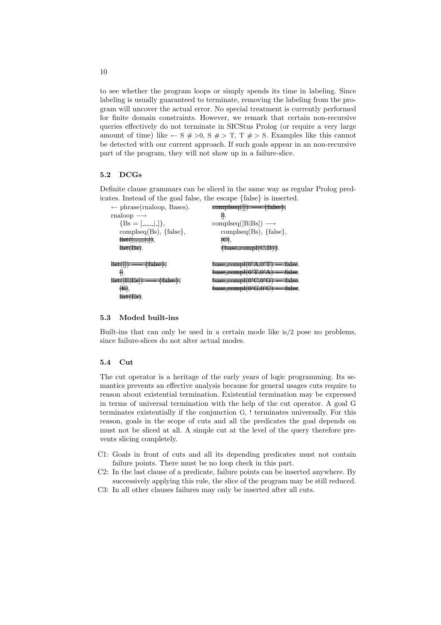to see whether the program loops or simply spends its time in labeling. Since labeling is usually guaranteed to terminate, removing the labeling from the program will uncover the actual error. No special treatment is currently performed for finite domain constraints. However, we remark that certain non-recursive queries effectively do not terminate in SICStus Prolog (or require a very large amount of time) like  $\leftarrow$  S  $\# > 0$ , S  $\# > T$ , T  $\# > S$ . Examples like this cannot be detected with our current approach. If such goals appear in an non-recursive part of the program, they will not show up in a failure-slice.

# 5.2 DCGs

Definite clause grammars can be sliced in the same way as regular Prolog predicates. Instead of the goal false, the escape {false} is inserted.



#### 5.3 Moded built-ins

Built-ins that can only be used in a certain mode like is/2 pose no problems, since failure-slices do not alter actual modes.

# 5.4 Cut

The cut operator is a heritage of the early years of logic programming. Its semantics prevents an effective analysis because for general usages cuts require to reason about existential termination. Existential termination may be expressed in terms of universal termination with the help of the cut operator. A goal G terminates existentially if the conjunction G, ! terminates universally. For this reason, goals in the scope of cuts and all the predicates the goal depends on must not be sliced at all. A simple cut at the level of the query therefore prevents slicing completely.

- C1: Goals in front of cuts and all its depending predicates must not contain failure points. There must be no loop check in this part.
- C2: In the last clause of a predicate, failure points can be inserted anywhere. By successively applying this rule, the slice of the program may be still reduced.
- C3: In all other clauses failures may only be inserted after all cuts.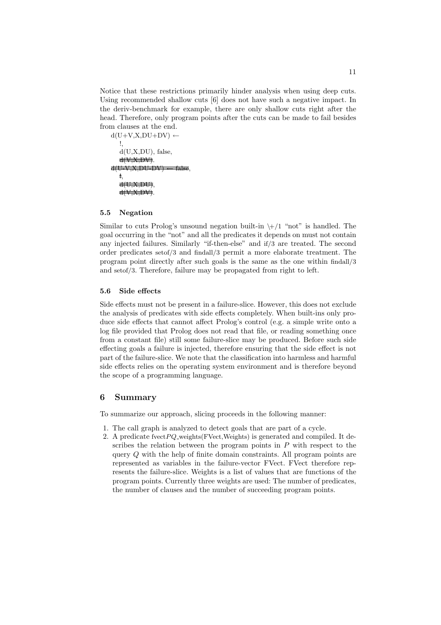Notice that these restrictions primarily hinder analysis when using deep cuts. Using recommended shallow cuts [6] does not have such a negative impact. In the deriv-benchmark for example, there are only shallow cuts right after the head. Therefore, only program points after the cuts can be made to fail besides from clauses at the end.

```
d(U+V,X,DU+DV) \leftarrow!,
   d(U,X,DU), false,
   d(V,X,DV).
d(U-V,X,DU-DV) \leftarrow false
   \pmd(U, X, D)d(V, X, DY).
```
### 5.5 Negation

Similar to cuts Prolog's unsound negation built-in  $\pm/1$  "not" is handled. The goal occurring in the "not" and all the predicates it depends on must not contain any injected failures. Similarly "if-then-else" and if/3 are treated. The second order predicates setof/3 and findall/3 permit a more elaborate treatment. The program point directly after such goals is the same as the one within findall/3 and setof/3. Therefore, failure may be propagated from right to left.

### 5.6 Side effects

Side effects must not be present in a failure-slice. However, this does not exclude the analysis of predicates with side effects completely. When built-ins only produce side effects that cannot affect Prolog's control (e.g. a simple write onto a log file provided that Prolog does not read that file, or reading something once from a constant file) still some failure-slice may be produced. Before such side effecting goals a failure is injected, therefore ensuring that the side effect is not part of the failure-slice. We note that the classification into harmless and harmful side effects relies on the operating system environment and is therefore beyond the scope of a programming language.

### 6 Summary

To summarize our approach, slicing proceeds in the following manner:

- 1. The call graph is analyzed to detect goals that are part of a cycle.
- 2. A predicate fvect  $PQ$  weights (FVect, Weights) is generated and compiled. It describes the relation between the program points in  $P$  with respect to the query Q with the help of finite domain constraints. All program points are represented as variables in the failure-vector FVect. FVect therefore represents the failure-slice. Weights is a list of values that are functions of the program points. Currently three weights are used: The number of predicates, the number of clauses and the number of succeeding program points.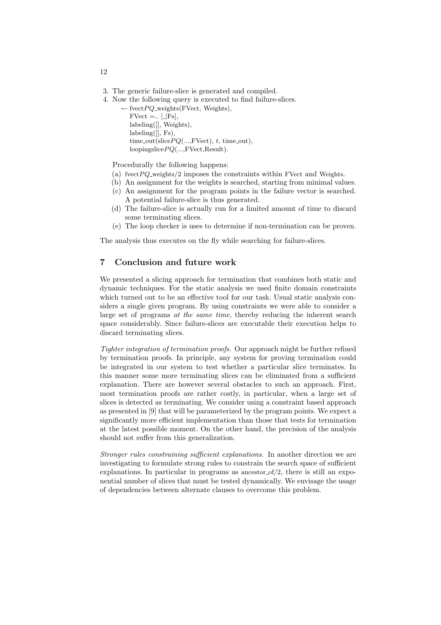- 3. The generic failure-slice is generated and compiled.
- 4. Now the following query is executed to find failure-slices.

 $\leftarrow \text{fvect} \, PQ$  weights(FVect, Weights),  $FVect = \ldots [-|Fs],$ labeling([], Weights),  $labeling([], Fs),$ time\_out(slice $PQ(...,FVect), t$ , time\_out),

 $loopingsliceP Q(...,FVect,Result).$ 

Procedurally the following happens:

- (a) fvect  $PQ$  weights/2 imposes the constraints within FVect and Weights.
- (b) An assignment for the weights is searched, starting from minimal values.
- (c) An assignment for the program points in the failure vector is searched. A potential failure-slice is thus generated.
- (d) The failure-slice is actually run for a limited amount of time to discard some terminating slices.
- (e) The loop checker is uses to determine if non-termination can be proven.

The analysis thus executes on the fly while searching for failure-slices.

# 7 Conclusion and future work

We presented a slicing approach for termination that combines both static and dynamic techniques. For the static analysis we used finite domain constraints which turned out to be an effective tool for our task. Usual static analysis considers a single given program. By using constraints we were able to consider a large set of programs at the same time, thereby reducing the inherent search space considerably. Since failure-slices are executable their execution helps to discard terminating slices.

Tighter integration of termination proofs. Our approach might be further refined by termination proofs. In principle, any system for proving termination could be integrated in our system to test whether a particular slice terminates. In this manner some more terminating slices can be eliminated from a sufficient explanation. There are however several obstacles to such an approach. First, most termination proofs are rather costly, in particular, when a large set of slices is detected as terminating. We consider using a constraint based approach as presented in [9] that will be parameterized by the program points. We expect a significantly more efficient implementation than those that tests for termination at the latest possible moment. On the other hand, the precision of the analysis should not suffer from this generalization.

Stronger rules constraining sufficient explanations. In another direction we are investigating to formulate strong rules to constrain the search space of sufficient explanations. In particular in programs as ancestor of/2, there is still an exponential number of slices that must be tested dynamically. We envisage the usage of dependencies between alternate clauses to overcome this problem.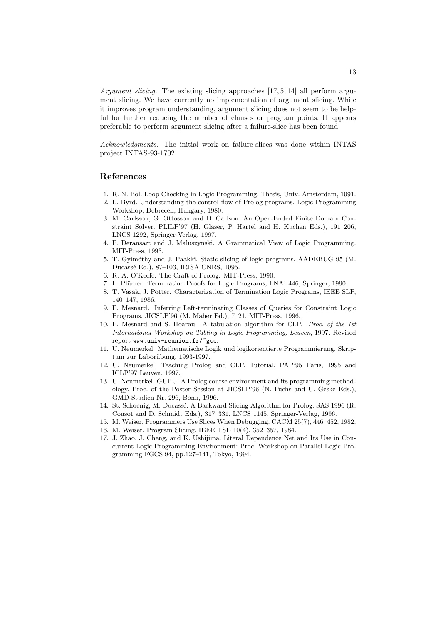Argument slicing. The existing slicing approaches [17, 5, 14] all perform argument slicing. We have currently no implementation of argument slicing. While it improves program understanding, argument slicing does not seem to be helpful for further reducing the number of clauses or program points. It appears preferable to perform argument slicing after a failure-slice has been found.

Acknowledgments. The initial work on failure-slices was done within INTAS project INTAS-93-1702.

### References

- 1. R. N. Bol. Loop Checking in Logic Programming. Thesis, Univ. Amsterdam, 1991.
- 2. L. Byrd. Understanding the control flow of Prolog programs. Logic Programming Workshop, Debrecen, Hungary, 1980.
- 3. M. Carlsson, G. Ottosson and B. Carlson. An Open-Ended Finite Domain Constraint Solver. PLILP'97 (H. Glaser, P. Hartel and H. Kuchen Eds.), 191–206, LNCS 1292, Springer-Verlag, 1997.
- 4. P. Deransart and J. Maluszynski. A Grammatical View of Logic Programming. MIT-Press, 1993.
- 5. T. Gyimóthy and J. Paakki. Static slicing of logic programs. AADEBUG 95 (M. Ducassé Ed.), 87-103, IRISA-CNRS, 1995.
- 6. R. A. O'Keefe. The Craft of Prolog. MIT-Press, 1990.
- 7. L. Plümer. Termination Proofs for Logic Programs, LNAI 446, Springer, 1990.
- 8. T. Vasak, J. Potter. Characterization of Termination Logic Programs, IEEE SLP, 140–147, 1986.
- 9. F. Mesnard. Inferring Left-terminating Classes of Queries for Constraint Logic Programs. JICSLP'96 (M. Maher Ed.), 7–21, MIT-Press, 1996.
- 10. F. Mesnard and S. Hoarau. A tabulation algorithm for CLP. Proc. of the 1st International Workshop on Tabling in Logic Programming, Leuven, 1997. Revised report www.univ-reunion.fr/~gcc.
- 11. U. Neumerkel. Mathematische Logik und logikorientierte Programmierung, Skriptum zur Laborübung, 1993-1997.
- 12. U. Neumerkel. Teaching Prolog and CLP. Tutorial. PAP'95 Paris, 1995 and ICLP'97 Leuven, 1997.
- 13. U. Neumerkel. GUPU: A Prolog course environment and its programming methodology. Proc. of the Poster Session at JICSLP'96 (N. Fuchs and U. Geske Eds.), GMD-Studien Nr. 296, Bonn, 1996.
- 14. St. Schoenig, M. Ducassé. A Backward Slicing Algorithm for Prolog. SAS 1996 (R. Cousot and D. Schmidt Eds.), 317–331, LNCS 1145, Springer-Verlag, 1996.
- 15. M. Weiser. Programmers Use Slices When Debugging. CACM 25(7), 446–452, 1982.
- 16. M. Weiser. Program Slicing. IEEE TSE 10(4), 352–357, 1984.
- 17. J. Zhao, J. Cheng, and K. Ushijima. Literal Dependence Net and Its Use in Concurrent Logic Programming Environment: Proc. Workshop on Parallel Logic Programming FGCS'94, pp.127–141, Tokyo, 1994.